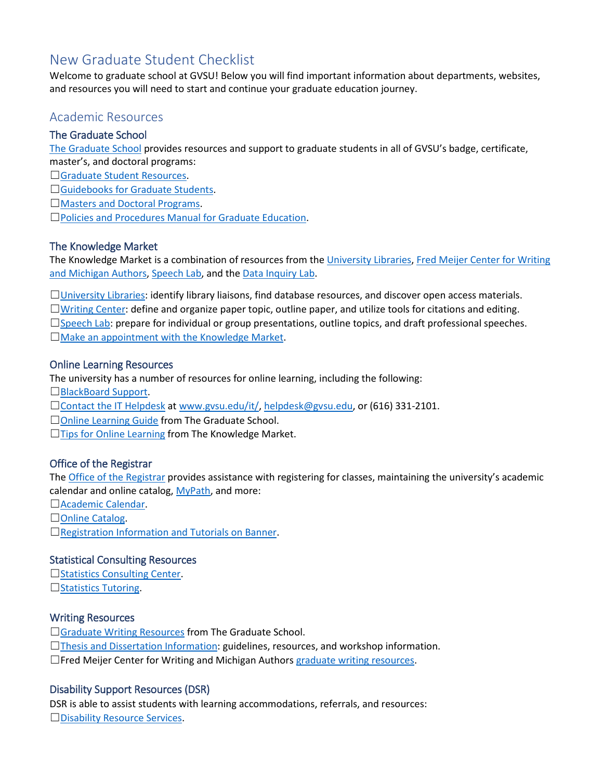# New Graduate Student Checklist

Welcome to graduate school at GVSU! Below you will find important information about departments, websites, and resources you will need to start and continue your graduate education journey.

# Academic Resources

## The Graduate School

[The Graduate School](http://www.gvsu.edu/gs) provides resources and support to graduate students in all of GVSU's badge, certificate, master's, and doctoral programs:

□[Graduate Student Resources.](http://www.gvsu.edu/gs/graduate-student-resources-30.htm)

□[Guidebooks for Graduate Students.](http://www.gvsu.edu/gs/guides-for-graduate-students-70.htm)

□[Masters and Doctoral Programs.](http://www.gvsu.edu/gs/masters-and-doctoral-degree-programs-9.htm)

☐[Policies and Procedures Manual for Graduate Education.](http://www.gvsu.edu/gs/policies-and-procedures-58.htm)

## The Knowledge Market

The Knowledge Market is a combination of resources from the [University Libraries,](http://www.gvsu.edu/library/) [Fred Meijer Center for Writing](http://www.gvsu.edu/wc/) [and Michigan Authors,](http://www.gvsu.edu/wc/) [Speech Lab,](http://www.gvsu.edu/speechlab/) and the [Data Inquiry Lab.](http://www.gvsu.edu/datainquirylab/)

□[University Libraries:](http://www.gvsu.edu/library/) identify library liaisons, find database resources, and discover open access materials.

☐[Writing Center:](http://www.gvsu.edu/wc/) define and organize paper topic, outline paper, and utilize tools for citations and editing.  $\Box$ [Speech Lab:](http://www.gvsu.edu/speechlab/) prepare for individual or group presentations, outline topics, and draft professional speeches. □[Make an appointment with the Knowledge Market.](https://www.gvsu.edu/library/km/)

## Online Learning Resources

The university has a number of resources for online learning, including the following:

☐[BlackBoard Support.](http://www.gvsu.edu/elearn/help/blackboard-student-help-2.htm)

□[Contact the IT Helpdesk](http://www.gvsu.edu/it) at [www.gvsu.edu/it/,](http://www.gvsu.edu/it/) [helpdesk@gvsu.edu,](mailto:helpdesk@gvsu.edu) or (616) 331-2101.

□[Online Learning Guide](https://www.gvsu.edu/gs/guides-for-graduate-students-70.htm) from The Graduate School.

□[Tips for Online Learning](http://www.gvsu.edu/library/km/online-support-41.htm) from The Knowledge Market.

## Office of the Registrar

Th[e Office of the Registrar](http://www.gvsu.edu/registrar) provides assistance with registering for classes, maintaining the university's academic calendar and online catalog, [MyPath,](https://www.gvsu.edu/registrar/mypath-information-41.htm) and more:

☐[Academic Calendar.](http://www.gvsu.edu/registrar/academiccalendar.htm)

□[Online Catalog.](http://www.gvsu.edu/catalog/)

☐[Registration Information and Tutorials on Banner.](http://www.gvsu.edu/registrar/registration-61.htm)

## Statistical Consulting Resources

□[Statistics Consulting Center.](http://www.gvsu.edu/scc/)  $\Box$ [Statistics Tutoring.](http://www.gvsu.edu/tutoring/stats/)

## Writing Resources

□[Graduate Writing Resources](http://www.gvsu.edu/gs/graduate-writing-resources-96.htm) from The Graduate School.

☐[Thesis and Dissertation Information:](http://www.gvsu.edu/gs/thesis-and-dissertation-information-35.htm) guidelines, resources, and workshop information.

☐Fred Meijer Center for Writing and Michigan Authors [graduate writing resources.](http://www.gvsu.edu/wc/graduate-student-services-100.htm)

## Disability Support Resources (DSR)

DSR is able to assist students with learning accommodations, referrals, and resources: □[Disability Resource Services.](http://www.gvsu.edu/dsr/)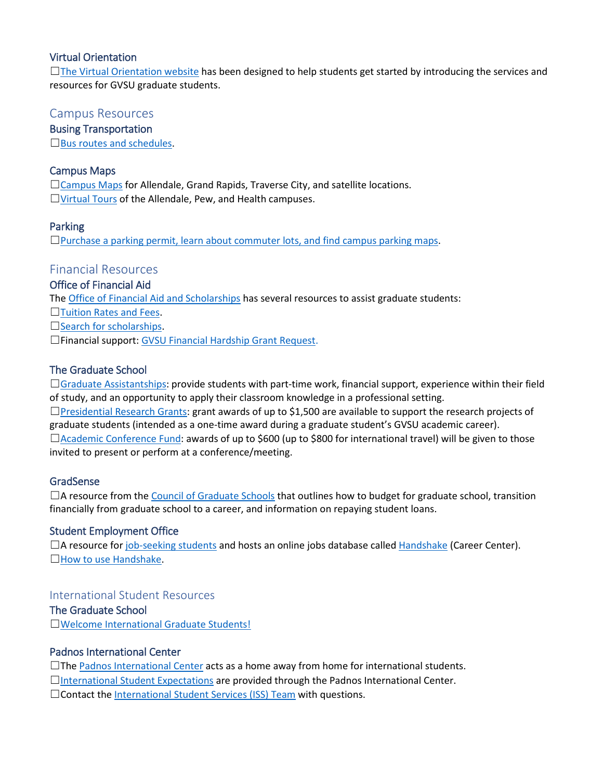## Virtual Orientation

☐[The Virtual Orientation](http://www.gvsu.edu/gs/virtual/) website has been designed to help students get started by introducing the services and resources for GVSU graduate students.

## Campus Resources

Busing Transportation

 $\square$ [Bus routes and schedules.](http://www.gvsu.edu/bus/bus-routes-and-schedules-52.htm)

## Campus Maps

☐[Campus Maps](http://www.gvsu.edu/maps.htm) for Allendale, Grand Rapids, Traverse City, and satellite locations. ☐[Virtual Tours](https://grandvalleystate.university-tour.com/map.php) of the Allendale, Pew, and Health campuses.

#### Parking

 $\Box$ [Purchase a parking permit, learn about commuter lots, and find campus parking maps.](http://www.gvsu.edu/parking/)

# Financial Resources

#### Office of Financial Aid

Th[e Office of Financial Aid and Scholarships](http://www.gvsu.edu/financialaid/) has several resources to assist graduate students:

□[Tuition Rates and Fees.](https://www.gvsu.edu/financialaid/tuition-fees-68.htm)

□[Search for scholarships.](http://www.gvsu.edu/financialaid/scholarships-157.htm)

☐Financial support: [GVSU Financial Hardship Grant Request.](https://www.gvsu.edu/financialaid/cms-form-edit.htm?formId=211CCE15-EAB5-A3A5-34394CB6ED11E786)

## The Graduate School

☐[Graduate Assistantships:](http://www.gvsu.edu/gs/graduate-assistantships-student-information-and-resources-11.htm) provide students with part-time work, financial support, experience within their field of study, and an opportunity to apply their classroom knowledge in a professional setting.

□[Presidential Research Grants:](http://www.gvsu.edu/gs/presidential-research-grants-33.htm) grant awards of up to \$1,500 are available to support the research projects of graduate students (intended as a one-time award during a graduate student's GVSU academic career). □[Academic Conference Fund:](http://www.gvsu.edu/gs/academic-conference-fund-29.htm) awards of up to \$600 (up to \$800 for international travel) will be given to those invited to present or perform at a conference/meeting.

## GradSense

 $\Box$ A resource from th[e Council of Graduate Schools](https://gradsense.org/gradsense) that outlines how to budget for graduate school, transition financially from graduate school to a career, and information on repaying student loans.

## Student Employment Office

□A resource fo[r job-seeking students](http://www.gvsu.edu/studentjobs/) and hosts an online jobs database called [Handshake](http://www.gvsu.edu/careers/handshake-18.htm) (Career Center). □[How to use Handshake.](http://www.gvsu.edu/studentjobs/handshake-how-to-51.htm)

## International Student Resources

## The Graduate School

☐[Welcome International Graduate Students!](http://www.gvsu.edu/gs/international-students-37.htm)

## Padnos International Center

 $\Box$ Th[e Padnos International Center](http://www.gvsu.edu/pic/) acts as a home away from home for international students.

☐[International Student Expectations](http://www.gvsu.edu/pic/expectations/) are provided through the Padnos International Center.

□Contact the [International Student Services \(ISS\) Team](http://www.gvsu.edu/istudents/) with questions.